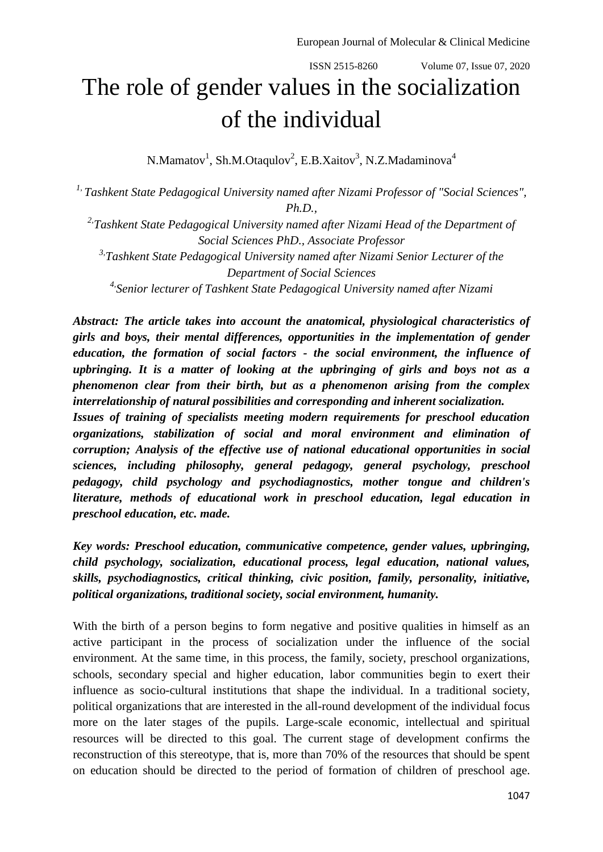## The role of gender values in the socialization of the individual

N.Mamatov<sup>1</sup>, Sh.M.Otaqulov<sup>2</sup>, E.B.Xaitov<sup>3</sup>, N.Z.Madaminova<sup>4</sup>

*1, Tashkent State Pedagogical University named after Nizami Professor of "Social Sciences", Ph.D.,*

*2,Tashkent State Pedagogical University named after Nizami Head of the Department of Social Sciences PhD., Associate Professor 3,Tashkent State Pedagogical University named after Nizami Senior Lecturer of the* 

*Department of Social Sciences*

*4,Senior lecturer of Tashkent State Pedagogical University named after Nizami*

*Abstract: The article takes into account the anatomical, physiological characteristics of girls and boys, their mental differences, opportunities in the implementation of gender education, the formation of social factors - the social environment, the influence of upbringing. It is a matter of looking at the upbringing of girls and boys not as a phenomenon clear from their birth, but as a phenomenon arising from the complex interrelationship of natural possibilities and corresponding and inherent socialization.*

*Issues of training of specialists meeting modern requirements for preschool education organizations, stabilization of social and moral environment and elimination of corruption; Analysis of the effective use of national educational opportunities in social sciences, including philosophy, general pedagogy, general psychology, preschool pedagogy, child psychology and psychodiagnostics, mother tongue and children's literature, methods of educational work in preschool education, legal education in preschool education, etc. made.*

*Key words: Preschool education, communicative competence, gender values, upbringing, child psychology, socialization, educational process, legal education, national values, skills, psychodiagnostics, critical thinking, civic position, family, personality, initiative, political organizations, traditional society, social environment, humanity.*

With the birth of a person begins to form negative and positive qualities in himself as an active participant in the process of socialization under the influence of the social environment. At the same time, in this process, the family, society, preschool organizations, schools, secondary special and higher education, labor communities begin to exert their influence as socio-cultural institutions that shape the individual. In a traditional society, political organizations that are interested in the all-round development of the individual focus more on the later stages of the pupils. Large-scale economic, intellectual and spiritual resources will be directed to this goal. The current stage of development confirms the reconstruction of this stereotype, that is, more than 70% of the resources that should be spent on education should be directed to the period of formation of children of preschool age.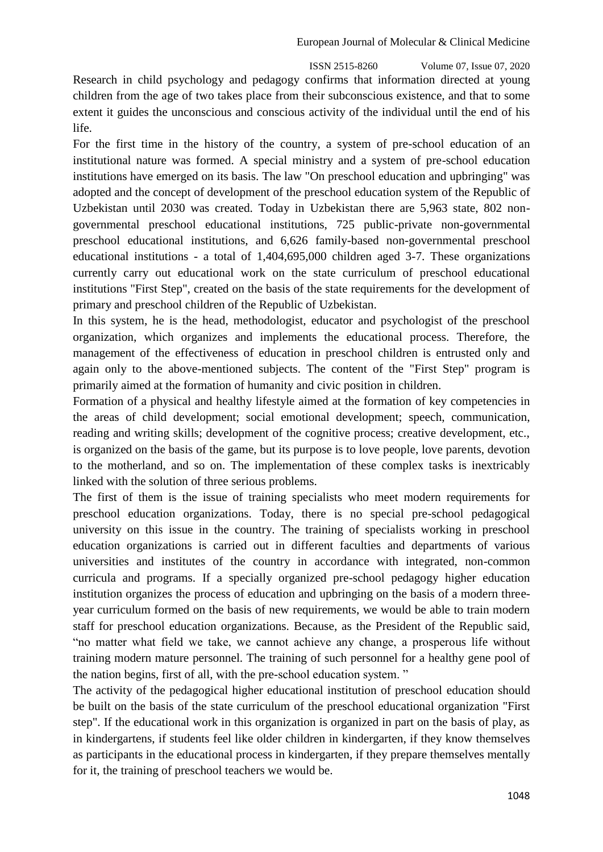Research in child psychology and pedagogy confirms that information directed at young children from the age of two takes place from their subconscious existence, and that to some extent it guides the unconscious and conscious activity of the individual until the end of his life.

For the first time in the history of the country, a system of pre-school education of an institutional nature was formed. A special ministry and a system of pre-school education institutions have emerged on its basis. The law "On preschool education and upbringing" was adopted and the concept of development of the preschool education system of the Republic of Uzbekistan until 2030 was created. Today in Uzbekistan there are 5,963 state, 802 nongovernmental preschool educational institutions, 725 public-private non-governmental preschool educational institutions, and 6,626 family-based non-governmental preschool educational institutions - a total of 1,404,695,000 children aged 3-7. These organizations currently carry out educational work on the state curriculum of preschool educational institutions "First Step", created on the basis of the state requirements for the development of primary and preschool children of the Republic of Uzbekistan.

In this system, he is the head, methodologist, educator and psychologist of the preschool organization, which organizes and implements the educational process. Therefore, the management of the effectiveness of education in preschool children is entrusted only and again only to the above-mentioned subjects. The content of the "First Step" program is primarily aimed at the formation of humanity and civic position in children.

Formation of a physical and healthy lifestyle aimed at the formation of key competencies in the areas of child development; social emotional development; speech, communication, reading and writing skills; development of the cognitive process; creative development, etc., is organized on the basis of the game, but its purpose is to love people, love parents, devotion to the motherland, and so on. The implementation of these complex tasks is inextricably linked with the solution of three serious problems.

The first of them is the issue of training specialists who meet modern requirements for preschool education organizations. Today, there is no special pre-school pedagogical university on this issue in the country. The training of specialists working in preschool education organizations is carried out in different faculties and departments of various universities and institutes of the country in accordance with integrated, non-common curricula and programs. If a specially organized pre-school pedagogy higher education institution organizes the process of education and upbringing on the basis of a modern threeyear curriculum formed on the basis of new requirements, we would be able to train modern staff for preschool education organizations. Because, as the President of the Republic said, "no matter what field we take, we cannot achieve any change, a prosperous life without training modern mature personnel. The training of such personnel for a healthy gene pool of the nation begins, first of all, with the pre-school education system. "

The activity of the pedagogical higher educational institution of preschool education should be built on the basis of the state curriculum of the preschool educational organization "First step". If the educational work in this organization is organized in part on the basis of play, as in kindergartens, if students feel like older children in kindergarten, if they know themselves as participants in the educational process in kindergarten, if they prepare themselves mentally for it, the training of preschool teachers we would be.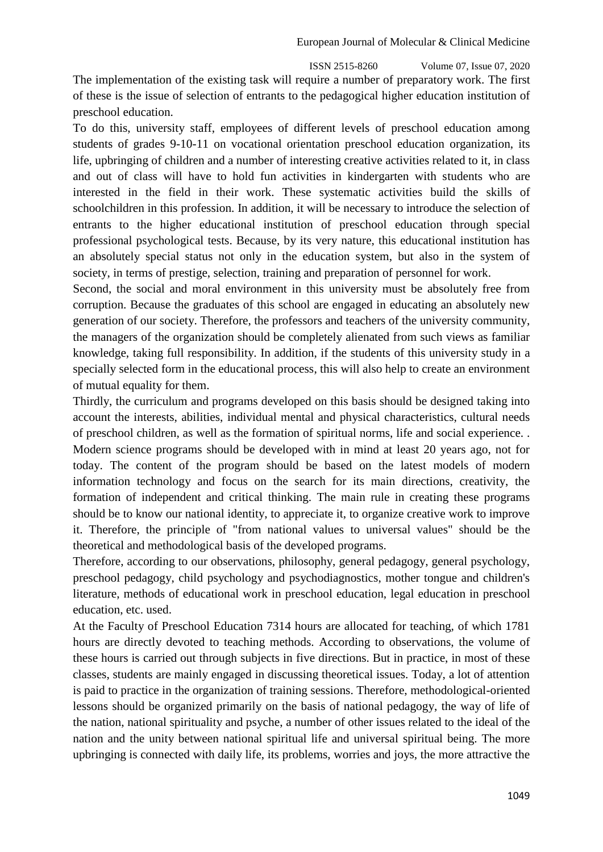ISSN 2515-8260 Volume 07, Issue 07, 2020 The implementation of the existing task will require a number of preparatory work. The first of these is the issue of selection of entrants to the pedagogical higher education institution of preschool education.

To do this, university staff, employees of different levels of preschool education among students of grades 9-10-11 on vocational orientation preschool education organization, its life, upbringing of children and a number of interesting creative activities related to it, in class and out of class will have to hold fun activities in kindergarten with students who are interested in the field in their work. These systematic activities build the skills of schoolchildren in this profession. In addition, it will be necessary to introduce the selection of entrants to the higher educational institution of preschool education through special professional psychological tests. Because, by its very nature, this educational institution has an absolutely special status not only in the education system, but also in the system of society, in terms of prestige, selection, training and preparation of personnel for work.

Second, the social and moral environment in this university must be absolutely free from corruption. Because the graduates of this school are engaged in educating an absolutely new generation of our society. Therefore, the professors and teachers of the university community, the managers of the organization should be completely alienated from such views as familiar knowledge, taking full responsibility. In addition, if the students of this university study in a specially selected form in the educational process, this will also help to create an environment of mutual equality for them.

Thirdly, the curriculum and programs developed on this basis should be designed taking into account the interests, abilities, individual mental and physical characteristics, cultural needs of preschool children, as well as the formation of spiritual norms, life and social experience. . Modern science programs should be developed with in mind at least 20 years ago, not for today. The content of the program should be based on the latest models of modern information technology and focus on the search for its main directions, creativity, the formation of independent and critical thinking. The main rule in creating these programs should be to know our national identity, to appreciate it, to organize creative work to improve it. Therefore, the principle of "from national values to universal values" should be the theoretical and methodological basis of the developed programs.

Therefore, according to our observations, philosophy, general pedagogy, general psychology, preschool pedagogy, child psychology and psychodiagnostics, mother tongue and children's literature, methods of educational work in preschool education, legal education in preschool education, etc. used.

At the Faculty of Preschool Education 7314 hours are allocated for teaching, of which 1781 hours are directly devoted to teaching methods. According to observations, the volume of these hours is carried out through subjects in five directions. But in practice, in most of these classes, students are mainly engaged in discussing theoretical issues. Today, a lot of attention is paid to practice in the organization of training sessions. Therefore, methodological-oriented lessons should be organized primarily on the basis of national pedagogy, the way of life of the nation, national spirituality and psyche, a number of other issues related to the ideal of the nation and the unity between national spiritual life and universal spiritual being. The more upbringing is connected with daily life, its problems, worries and joys, the more attractive the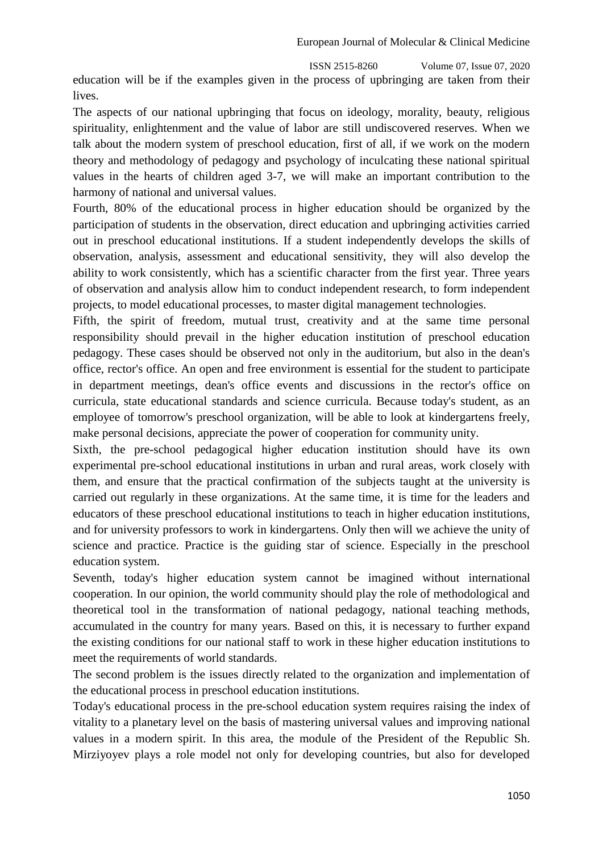education will be if the examples given in the process of upbringing are taken from their lives.

The aspects of our national upbringing that focus on ideology, morality, beauty, religious spirituality, enlightenment and the value of labor are still undiscovered reserves. When we talk about the modern system of preschool education, first of all, if we work on the modern theory and methodology of pedagogy and psychology of inculcating these national spiritual values in the hearts of children aged 3-7, we will make an important contribution to the harmony of national and universal values.

Fourth, 80% of the educational process in higher education should be organized by the participation of students in the observation, direct education and upbringing activities carried out in preschool educational institutions. If a student independently develops the skills of observation, analysis, assessment and educational sensitivity, they will also develop the ability to work consistently, which has a scientific character from the first year. Three years of observation and analysis allow him to conduct independent research, to form independent projects, to model educational processes, to master digital management technologies.

Fifth, the spirit of freedom, mutual trust, creativity and at the same time personal responsibility should prevail in the higher education institution of preschool education pedagogy. These cases should be observed not only in the auditorium, but also in the dean's office, rector's office. An open and free environment is essential for the student to participate in department meetings, dean's office events and discussions in the rector's office on curricula, state educational standards and science curricula. Because today's student, as an employee of tomorrow's preschool organization, will be able to look at kindergartens freely, make personal decisions, appreciate the power of cooperation for community unity.

Sixth, the pre-school pedagogical higher education institution should have its own experimental pre-school educational institutions in urban and rural areas, work closely with them, and ensure that the practical confirmation of the subjects taught at the university is carried out regularly in these organizations. At the same time, it is time for the leaders and educators of these preschool educational institutions to teach in higher education institutions, and for university professors to work in kindergartens. Only then will we achieve the unity of science and practice. Practice is the guiding star of science. Especially in the preschool education system.

Seventh, today's higher education system cannot be imagined without international cooperation. In our opinion, the world community should play the role of methodological and theoretical tool in the transformation of national pedagogy, national teaching methods, accumulated in the country for many years. Based on this, it is necessary to further expand the existing conditions for our national staff to work in these higher education institutions to meet the requirements of world standards.

The second problem is the issues directly related to the organization and implementation of the educational process in preschool education institutions.

Today's educational process in the pre-school education system requires raising the index of vitality to a planetary level on the basis of mastering universal values and improving national values in a modern spirit. In this area, the module of the President of the Republic Sh. Mirziyoyev plays a role model not only for developing countries, but also for developed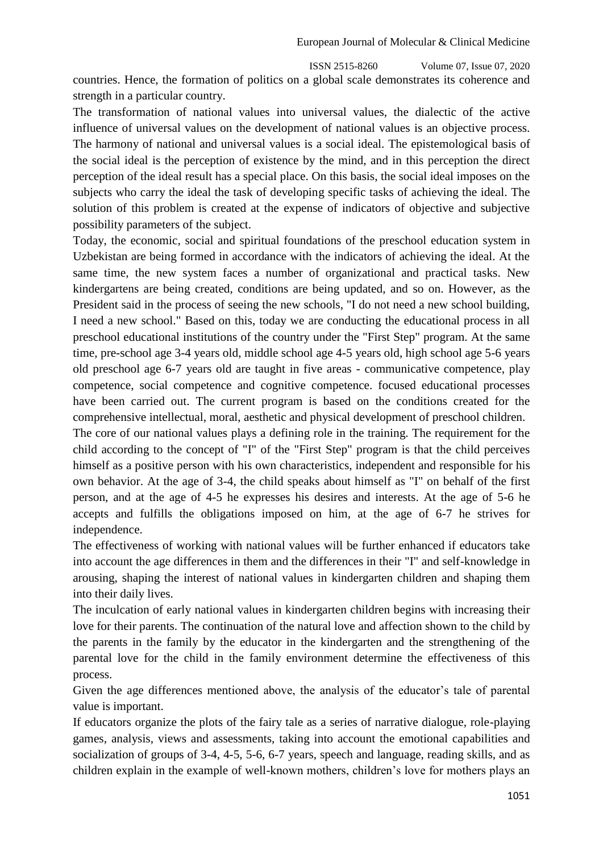countries. Hence, the formation of politics on a global scale demonstrates its coherence and strength in a particular country.

The transformation of national values into universal values, the dialectic of the active influence of universal values on the development of national values is an objective process. The harmony of national and universal values is a social ideal. The epistemological basis of the social ideal is the perception of existence by the mind, and in this perception the direct perception of the ideal result has a special place. On this basis, the social ideal imposes on the subjects who carry the ideal the task of developing specific tasks of achieving the ideal. The solution of this problem is created at the expense of indicators of objective and subjective possibility parameters of the subject.

Today, the economic, social and spiritual foundations of the preschool education system in Uzbekistan are being formed in accordance with the indicators of achieving the ideal. At the same time, the new system faces a number of organizational and practical tasks. New kindergartens are being created, conditions are being updated, and so on. However, as the President said in the process of seeing the new schools, "I do not need a new school building, I need a new school." Based on this, today we are conducting the educational process in all preschool educational institutions of the country under the "First Step" program. At the same time, pre-school age 3-4 years old, middle school age 4-5 years old, high school age 5-6 years old preschool age 6-7 years old are taught in five areas - communicative competence, play competence, social competence and cognitive competence. focused educational processes have been carried out. The current program is based on the conditions created for the comprehensive intellectual, moral, aesthetic and physical development of preschool children.

The core of our national values plays a defining role in the training. The requirement for the child according to the concept of "I" of the "First Step" program is that the child perceives himself as a positive person with his own characteristics, independent and responsible for his own behavior. At the age of 3-4, the child speaks about himself as "I" on behalf of the first person, and at the age of 4-5 he expresses his desires and interests. At the age of 5-6 he accepts and fulfills the obligations imposed on him, at the age of 6-7 he strives for independence.

The effectiveness of working with national values will be further enhanced if educators take into account the age differences in them and the differences in their "I" and self-knowledge in arousing, shaping the interest of national values in kindergarten children and shaping them into their daily lives.

The inculcation of early national values in kindergarten children begins with increasing their love for their parents. The continuation of the natural love and affection shown to the child by the parents in the family by the educator in the kindergarten and the strengthening of the parental love for the child in the family environment determine the effectiveness of this process.

Given the age differences mentioned above, the analysis of the educator's tale of parental value is important.

If educators organize the plots of the fairy tale as a series of narrative dialogue, role-playing games, analysis, views and assessments, taking into account the emotional capabilities and socialization of groups of 3-4, 4-5, 5-6, 6-7 years, speech and language, reading skills, and as children explain in the example of well-known mothers, children's love for mothers plays an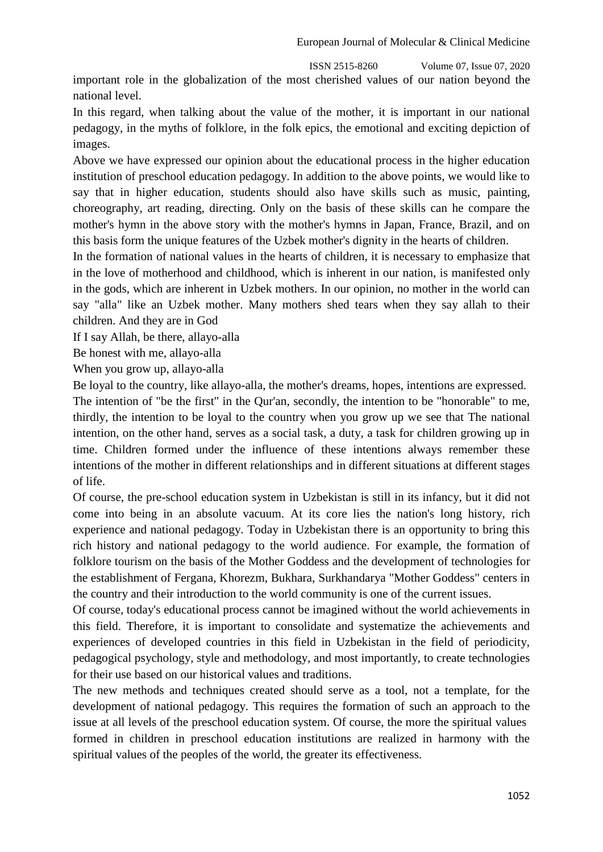important role in the globalization of the most cherished values of our nation beyond the national level.

In this regard, when talking about the value of the mother, it is important in our national pedagogy, in the myths of folklore, in the folk epics, the emotional and exciting depiction of images.

Above we have expressed our opinion about the educational process in the higher education institution of preschool education pedagogy. In addition to the above points, we would like to say that in higher education, students should also have skills such as music, painting, choreography, art reading, directing. Only on the basis of these skills can he compare the mother's hymn in the above story with the mother's hymns in Japan, France, Brazil, and on this basis form the unique features of the Uzbek mother's dignity in the hearts of children.

In the formation of national values in the hearts of children, it is necessary to emphasize that in the love of motherhood and childhood, which is inherent in our nation, is manifested only in the gods, which are inherent in Uzbek mothers. In our opinion, no mother in the world can say "alla" like an Uzbek mother. Many mothers shed tears when they say allah to their children. And they are in God

If I say Allah, be there, allayo-alla

Be honest with me, allayo-alla

When you grow up, allayo-alla

Be loyal to the country, like allayo-alla, the mother's dreams, hopes, intentions are expressed. The intention of "be the first" in the Qur'an, secondly, the intention to be "honorable" to me, thirdly, the intention to be loyal to the country when you grow up we see that The national intention, on the other hand, serves as a social task, a duty, a task for children growing up in time. Children formed under the influence of these intentions always remember these intentions of the mother in different relationships and in different situations at different stages of life.

Of course, the pre-school education system in Uzbekistan is still in its infancy, but it did not come into being in an absolute vacuum. At its core lies the nation's long history, rich experience and national pedagogy. Today in Uzbekistan there is an opportunity to bring this rich history and national pedagogy to the world audience. For example, the formation of folklore tourism on the basis of the Mother Goddess and the development of technologies for the establishment of Fergana, Khorezm, Bukhara, Surkhandarya "Mother Goddess" centers in the country and their introduction to the world community is one of the current issues.

Of course, today's educational process cannot be imagined without the world achievements in this field. Therefore, it is important to consolidate and systematize the achievements and experiences of developed countries in this field in Uzbekistan in the field of periodicity, pedagogical psychology, style and methodology, and most importantly, to create technologies for their use based on our historical values and traditions.

The new methods and techniques created should serve as a tool, not a template, for the development of national pedagogy. This requires the formation of such an approach to the issue at all levels of the preschool education system. Of course, the more the spiritual values formed in children in preschool education institutions are realized in harmony with the spiritual values of the peoples of the world, the greater its effectiveness.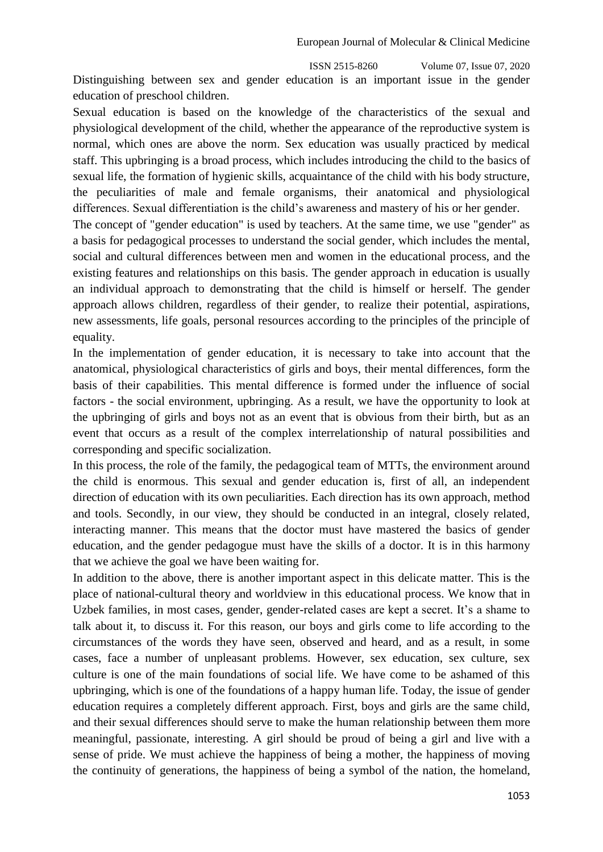ISSN 2515-8260 Volume 07, Issue 07, 2020 Distinguishing between sex and gender education is an important issue in the gender education of preschool children.

Sexual education is based on the knowledge of the characteristics of the sexual and physiological development of the child, whether the appearance of the reproductive system is normal, which ones are above the norm. Sex education was usually practiced by medical staff. This upbringing is a broad process, which includes introducing the child to the basics of sexual life, the formation of hygienic skills, acquaintance of the child with his body structure, the peculiarities of male and female organisms, their anatomical and physiological differences. Sexual differentiation is the child's awareness and mastery of his or her gender.

The concept of "gender education" is used by teachers. At the same time, we use "gender" as a basis for pedagogical processes to understand the social gender, which includes the mental, social and cultural differences between men and women in the educational process, and the existing features and relationships on this basis. The gender approach in education is usually an individual approach to demonstrating that the child is himself or herself. The gender approach allows children, regardless of their gender, to realize their potential, aspirations, new assessments, life goals, personal resources according to the principles of the principle of equality.

In the implementation of gender education, it is necessary to take into account that the anatomical, physiological characteristics of girls and boys, their mental differences, form the basis of their capabilities. This mental difference is formed under the influence of social factors - the social environment, upbringing. As a result, we have the opportunity to look at the upbringing of girls and boys not as an event that is obvious from their birth, but as an event that occurs as a result of the complex interrelationship of natural possibilities and corresponding and specific socialization.

In this process, the role of the family, the pedagogical team of MTTs, the environment around the child is enormous. This sexual and gender education is, first of all, an independent direction of education with its own peculiarities. Each direction has its own approach, method and tools. Secondly, in our view, they should be conducted in an integral, closely related, interacting manner. This means that the doctor must have mastered the basics of gender education, and the gender pedagogue must have the skills of a doctor. It is in this harmony that we achieve the goal we have been waiting for.

In addition to the above, there is another important aspect in this delicate matter. This is the place of national-cultural theory and worldview in this educational process. We know that in Uzbek families, in most cases, gender, gender-related cases are kept a secret. It's a shame to talk about it, to discuss it. For this reason, our boys and girls come to life according to the circumstances of the words they have seen, observed and heard, and as a result, in some cases, face a number of unpleasant problems. However, sex education, sex culture, sex culture is one of the main foundations of social life. We have come to be ashamed of this upbringing, which is one of the foundations of a happy human life. Today, the issue of gender education requires a completely different approach. First, boys and girls are the same child, and their sexual differences should serve to make the human relationship between them more meaningful, passionate, interesting. A girl should be proud of being a girl and live with a sense of pride. We must achieve the happiness of being a mother, the happiness of moving the continuity of generations, the happiness of being a symbol of the nation, the homeland,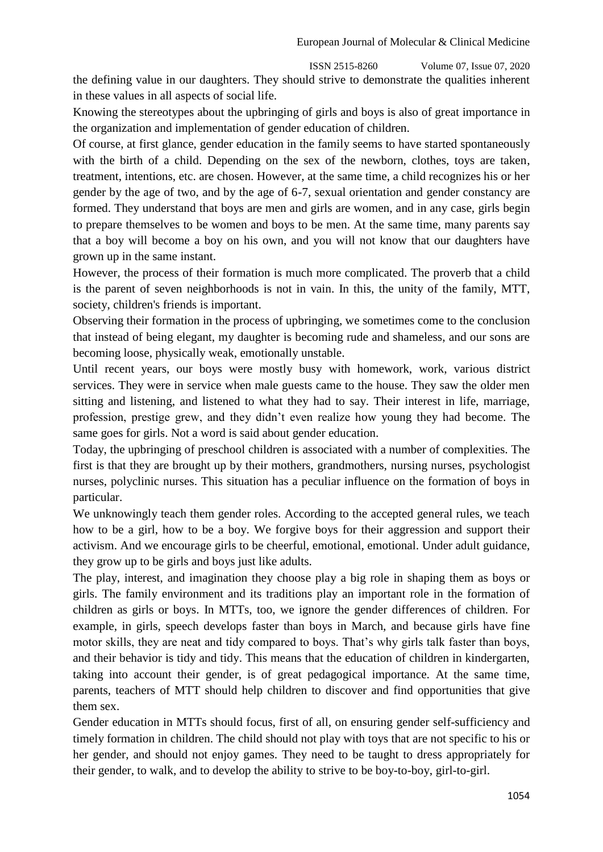the defining value in our daughters. They should strive to demonstrate the qualities inherent in these values in all aspects of social life.

Knowing the stereotypes about the upbringing of girls and boys is also of great importance in the organization and implementation of gender education of children.

Of course, at first glance, gender education in the family seems to have started spontaneously with the birth of a child. Depending on the sex of the newborn, clothes, toys are taken, treatment, intentions, etc. are chosen. However, at the same time, a child recognizes his or her gender by the age of two, and by the age of 6-7, sexual orientation and gender constancy are formed. They understand that boys are men and girls are women, and in any case, girls begin to prepare themselves to be women and boys to be men. At the same time, many parents say that a boy will become a boy on his own, and you will not know that our daughters have grown up in the same instant.

However, the process of their formation is much more complicated. The proverb that a child is the parent of seven neighborhoods is not in vain. In this, the unity of the family, MTT, society, children's friends is important.

Observing their formation in the process of upbringing, we sometimes come to the conclusion that instead of being elegant, my daughter is becoming rude and shameless, and our sons are becoming loose, physically weak, emotionally unstable.

Until recent years, our boys were mostly busy with homework, work, various district services. They were in service when male guests came to the house. They saw the older men sitting and listening, and listened to what they had to say. Their interest in life, marriage, profession, prestige grew, and they didn't even realize how young they had become. The same goes for girls. Not a word is said about gender education.

Today, the upbringing of preschool children is associated with a number of complexities. The first is that they are brought up by their mothers, grandmothers, nursing nurses, psychologist nurses, polyclinic nurses. This situation has a peculiar influence on the formation of boys in particular.

We unknowingly teach them gender roles. According to the accepted general rules, we teach how to be a girl, how to be a boy. We forgive boys for their aggression and support their activism. And we encourage girls to be cheerful, emotional, emotional. Under adult guidance, they grow up to be girls and boys just like adults.

The play, interest, and imagination they choose play a big role in shaping them as boys or girls. The family environment and its traditions play an important role in the formation of children as girls or boys. In MTTs, too, we ignore the gender differences of children. For example, in girls, speech develops faster than boys in March, and because girls have fine motor skills, they are neat and tidy compared to boys. That's why girls talk faster than boys, and their behavior is tidy and tidy. This means that the education of children in kindergarten, taking into account their gender, is of great pedagogical importance. At the same time, parents, teachers of MTT should help children to discover and find opportunities that give them sex.

Gender education in MTTs should focus, first of all, on ensuring gender self-sufficiency and timely formation in children. The child should not play with toys that are not specific to his or her gender, and should not enjoy games. They need to be taught to dress appropriately for their gender, to walk, and to develop the ability to strive to be boy-to-boy, girl-to-girl.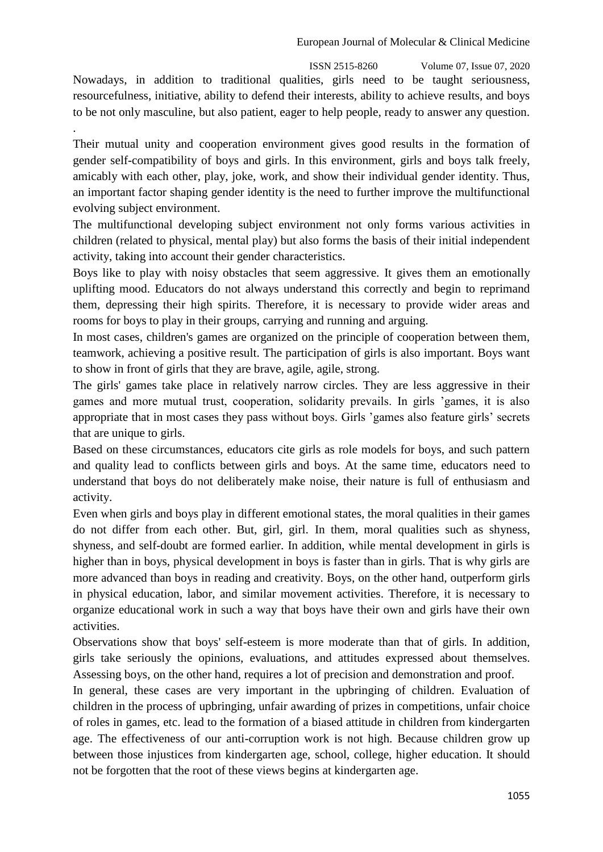ISSN 2515-8260 Volume 07, Issue 07, 2020 Nowadays, in addition to traditional qualities, girls need to be taught seriousness, resourcefulness, initiative, ability to defend their interests, ability to achieve results, and boys to be not only masculine, but also patient, eager to help people, ready to answer any question.

.

Their mutual unity and cooperation environment gives good results in the formation of gender self-compatibility of boys and girls. In this environment, girls and boys talk freely, amicably with each other, play, joke, work, and show their individual gender identity. Thus, an important factor shaping gender identity is the need to further improve the multifunctional evolving subject environment.

The multifunctional developing subject environment not only forms various activities in children (related to physical, mental play) but also forms the basis of their initial independent activity, taking into account their gender characteristics.

Boys like to play with noisy obstacles that seem aggressive. It gives them an emotionally uplifting mood. Educators do not always understand this correctly and begin to reprimand them, depressing their high spirits. Therefore, it is necessary to provide wider areas and rooms for boys to play in their groups, carrying and running and arguing.

In most cases, children's games are organized on the principle of cooperation between them, teamwork, achieving a positive result. The participation of girls is also important. Boys want to show in front of girls that they are brave, agile, agile, strong.

The girls' games take place in relatively narrow circles. They are less aggressive in their games and more mutual trust, cooperation, solidarity prevails. In girls 'games, it is also appropriate that in most cases they pass without boys. Girls 'games also feature girls' secrets that are unique to girls.

Based on these circumstances, educators cite girls as role models for boys, and such pattern and quality lead to conflicts between girls and boys. At the same time, educators need to understand that boys do not deliberately make noise, their nature is full of enthusiasm and activity.

Even when girls and boys play in different emotional states, the moral qualities in their games do not differ from each other. But, girl, girl. In them, moral qualities such as shyness, shyness, and self-doubt are formed earlier. In addition, while mental development in girls is higher than in boys, physical development in boys is faster than in girls. That is why girls are more advanced than boys in reading and creativity. Boys, on the other hand, outperform girls in physical education, labor, and similar movement activities. Therefore, it is necessary to organize educational work in such a way that boys have their own and girls have their own activities.

Observations show that boys' self-esteem is more moderate than that of girls. In addition, girls take seriously the opinions, evaluations, and attitudes expressed about themselves. Assessing boys, on the other hand, requires a lot of precision and demonstration and proof.

In general, these cases are very important in the upbringing of children. Evaluation of children in the process of upbringing, unfair awarding of prizes in competitions, unfair choice of roles in games, etc. lead to the formation of a biased attitude in children from kindergarten age. The effectiveness of our anti-corruption work is not high. Because children grow up between those injustices from kindergarten age, school, college, higher education. It should not be forgotten that the root of these views begins at kindergarten age.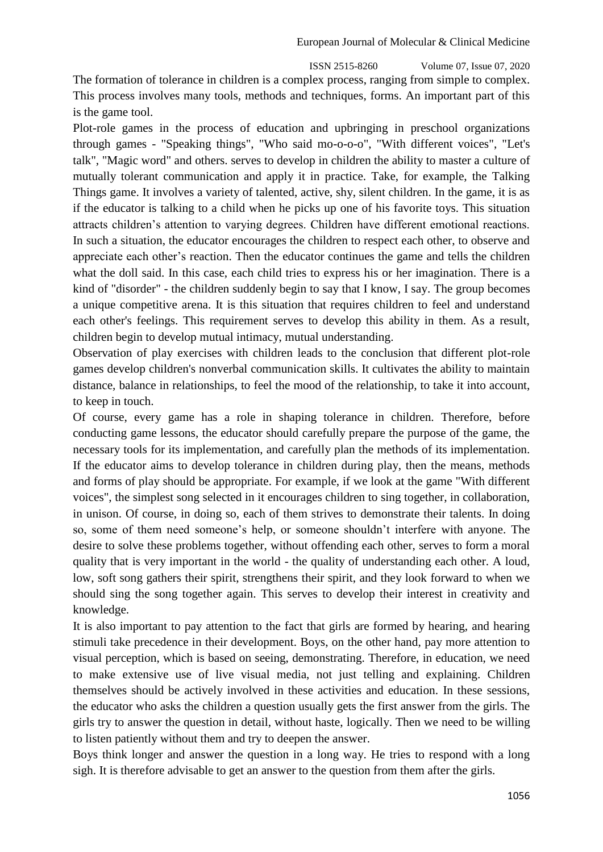The formation of tolerance in children is a complex process, ranging from simple to complex. This process involves many tools, methods and techniques, forms. An important part of this is the game tool.

Plot-role games in the process of education and upbringing in preschool organizations through games - "Speaking things", "Who said mo-o-o-o", "With different voices", "Let's talk", "Magic word" and others. serves to develop in children the ability to master a culture of mutually tolerant communication and apply it in practice. Take, for example, the Talking Things game. It involves a variety of talented, active, shy, silent children. In the game, it is as if the educator is talking to a child when he picks up one of his favorite toys. This situation attracts children's attention to varying degrees. Children have different emotional reactions. In such a situation, the educator encourages the children to respect each other, to observe and appreciate each other's reaction. Then the educator continues the game and tells the children what the doll said. In this case, each child tries to express his or her imagination. There is a kind of "disorder" - the children suddenly begin to say that I know, I say. The group becomes a unique competitive arena. It is this situation that requires children to feel and understand each other's feelings. This requirement serves to develop this ability in them. As a result, children begin to develop mutual intimacy, mutual understanding.

Observation of play exercises with children leads to the conclusion that different plot-role games develop children's nonverbal communication skills. It cultivates the ability to maintain distance, balance in relationships, to feel the mood of the relationship, to take it into account, to keep in touch.

Of course, every game has a role in shaping tolerance in children. Therefore, before conducting game lessons, the educator should carefully prepare the purpose of the game, the necessary tools for its implementation, and carefully plan the methods of its implementation. If the educator aims to develop tolerance in children during play, then the means, methods and forms of play should be appropriate. For example, if we look at the game "With different voices", the simplest song selected in it encourages children to sing together, in collaboration, in unison. Of course, in doing so, each of them strives to demonstrate their talents. In doing so, some of them need someone's help, or someone shouldn't interfere with anyone. The desire to solve these problems together, without offending each other, serves to form a moral quality that is very important in the world - the quality of understanding each other. A loud, low, soft song gathers their spirit, strengthens their spirit, and they look forward to when we should sing the song together again. This serves to develop their interest in creativity and knowledge.

It is also important to pay attention to the fact that girls are formed by hearing, and hearing stimuli take precedence in their development. Boys, on the other hand, pay more attention to visual perception, which is based on seeing, demonstrating. Therefore, in education, we need to make extensive use of live visual media, not just telling and explaining. Children themselves should be actively involved in these activities and education. In these sessions, the educator who asks the children a question usually gets the first answer from the girls. The girls try to answer the question in detail, without haste, logically. Then we need to be willing to listen patiently without them and try to deepen the answer.

Boys think longer and answer the question in a long way. He tries to respond with a long sigh. It is therefore advisable to get an answer to the question from them after the girls.